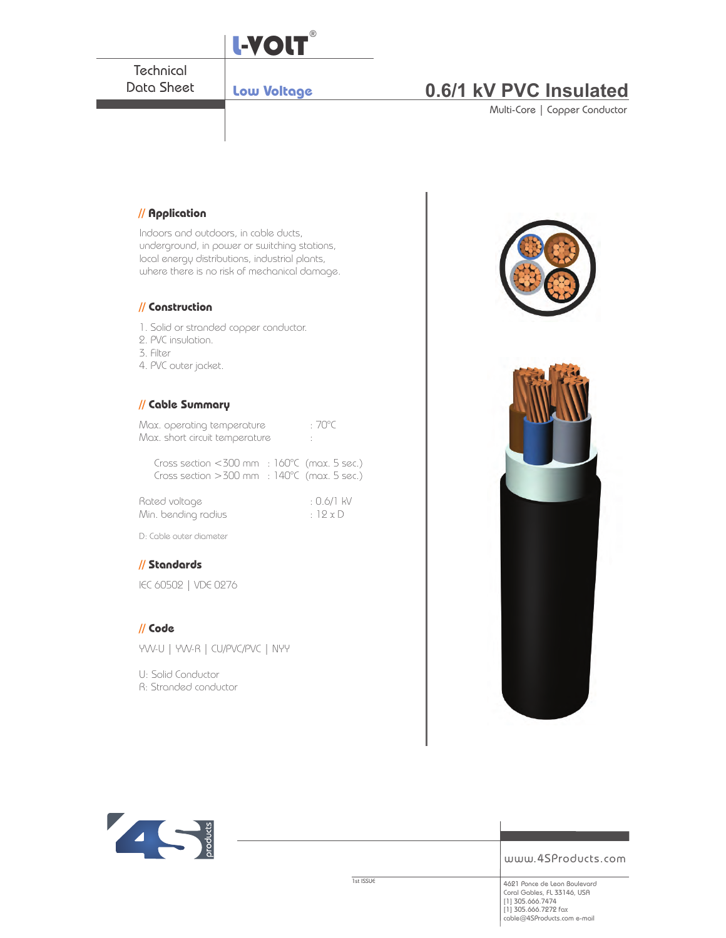

## **// Cable Summary**

| Max. operating temperature     | $:70^{\circ}$ C |
|--------------------------------|-----------------|
| Max. short circuit temperature |                 |

Cross section <300 mm : 160°C (max. 5 sec.) Cross section >300 mm : 140°C (max. 5 sec.)

| Rated voltage       | : 0.6/1 kV |
|---------------------|------------|
| Min. bending radius | : $12xD$   |

D: Cable outer diameter

## **// Standards**

IEC 60502 | VDE 0276

#### **// Code**

**TALK** 

YVV-U | YVV-R | CU/PVC/PVC | NYY

**Noducts** 

U: Solid Conductor R: Stranded conductor